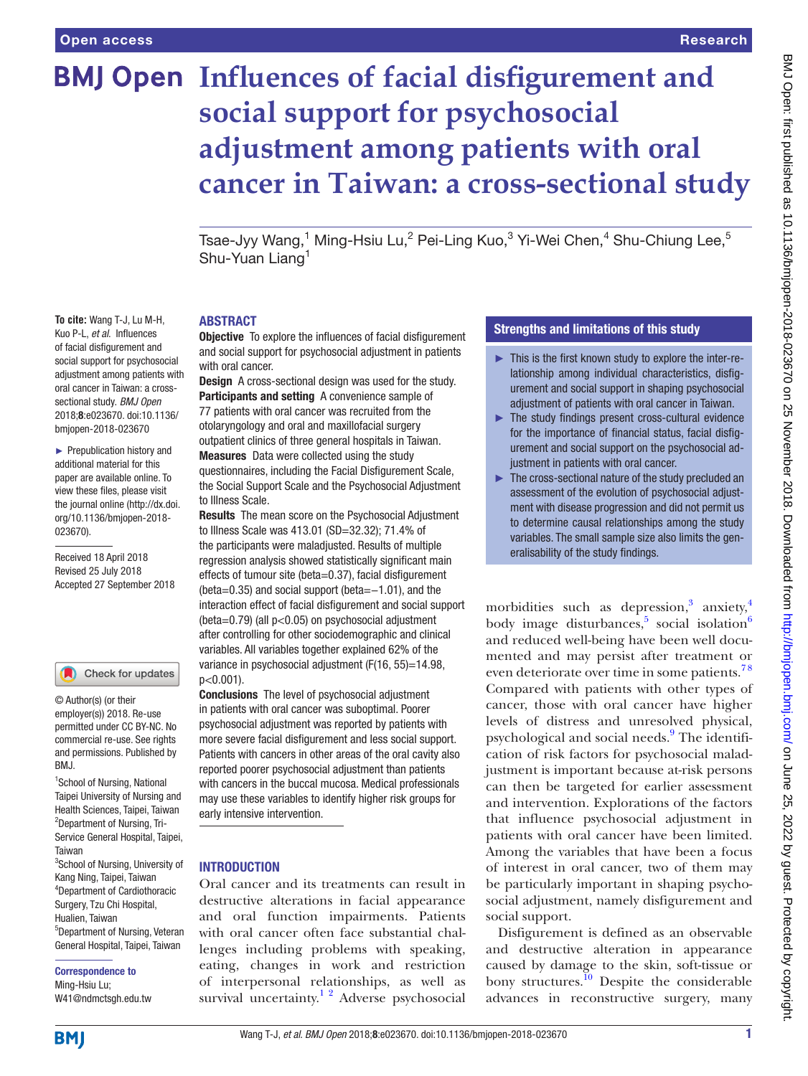**To cite:** Wang T-J, Lu M-H, Kuo P-L, *et al*. Influences of facial disfigurement and social support for psychosocial adjustment among patients with oral cancer in Taiwan: a crosssectional study. *BMJ Open* 2018;8:e023670. doi:10.1136/ bmjopen-2018-023670 ► Prepublication history and additional material for this paper are available online. To view these files, please visit the journal online [\(http://dx.doi.](http://dx.doi.org/10.1136/bmjopen-2018-023670) [org/10.1136/bmjopen-2018-](http://dx.doi.org/10.1136/bmjopen-2018-023670)

[023670\)](http://dx.doi.org/10.1136/bmjopen-2018-023670).

Received 18 April 2018 Revised 25 July 2018 Accepted 27 September 2018

<sup>1</sup>School of Nursing, National Taipei University of Nursing and Health Sciences, Taipei, Taiwan <sup>2</sup>Department of Nursing, Tri-Service General Hospital, Taipei,

Check for updates

© Author(s) (or their employer(s)) 2018. Re-use permitted under CC BY-NC. No commercial re-use. See rights and permissions. Published by

<sup>3</sup>School of Nursing, University of Kang Ning, Taipei, Taiwan 4 Department of Cardiothoracic Surgery, Tzu Chi Hospital, Hualien, Taiwan

5 Department of Nursing, Veteran General Hospital, Taipei, Taiwan

Correspondence to Ming-Hsiu Lu; W41@ndmctsgh.edu.tw

# **BMJ Open Influences of facial disfigurement and social support for psychosocial adjustment among patients with oral cancer in Taiwan: a cross-sectional study**

Tsae-Jyy Wang, $^1$  Ming-Hsiu Lu, $^2$  Pei-Ling Kuo, $^3$  Yi-Wei Chen, $^4$  Shu-Chiung Lee, $^5$ Shu-Yuan Liang<sup>1</sup>

#### **ABSTRACT**

Objective To explore the influences of facial disfigurement and social support for psychosocial adjustment in patients with oral cancer.

Design A cross-sectional design was used for the study. Participants and setting A convenience sample of 77 patients with oral cancer was recruited from the otolaryngology and oral and maxillofacial surgery outpatient clinics of three general hospitals in Taiwan. Measures Data were collected using the study questionnaires, including the Facial Disfigurement Scale, the Social Support Scale and the Psychosocial Adjustment to Illness Scale.

Results The mean score on the Psychosocial Adjustment to Illness Scale was 413.01 (SD=32.32); 71.4% of the participants were maladjusted. Results of multiple regression analysis showed statistically significant main effects of tumour site (beta=0.37), facial disfigurement (beta=0.35) and social support (beta=−1.01), and the interaction effect of facial disfigurement and social support (beta=0.79) (all p<0.05) on psychosocial adjustment after controlling for other sociodemographic and clinical variables. All variables together explained 62% of the variance in psychosocial adjustment (F(16, 55)=14.98,  $p<0.001$ ).

Conclusions The level of psychosocial adjustment in patients with oral cancer was suboptimal. Poorer psychosocial adjustment was reported by patients with more severe facial disfigurement and less social support. Patients with cancers in other areas of the oral cavity also reported poorer psychosocial adjustment than patients with cancers in the buccal mucosa. Medical professionals may use these variables to identify higher risk groups for early intensive intervention.

#### **INTRODUCTION**

Oral cancer and its treatments can result in destructive alterations in facial appearance and oral function impairments. Patients with oral cancer often face substantial challenges including problems with speaking, eating, changes in work and restriction of interpersonal relationships, as well as survival uncertainty.<sup>12</sup> Adverse psychosocial

#### Strengths and limitations of this study

- ► This is the first known study to explore the inter-relationship among individual characteristics, disfigurement and social support in shaping psychosocial adjustment of patients with oral cancer in Taiwan.
- ► The study findings present cross-cultural evidence for the importance of financial status, facial disfigurement and social support on the psychosocial adjustment in patients with oral cancer.
- ► The cross-sectional nature of the study precluded an assessment of the evolution of psychosocial adjustment with disease progression and did not permit us to determine causal relationships among the study variables. The small sample size also limits the generalisability of the study findings.

morbidities such as depression,<sup>[3](#page-5-1)</sup> anxiety,<sup>4</sup> body image disturbances,<sup>[5](#page-5-3)</sup> social isolation<sup>[6](#page-5-4)</sup> and reduced well-being have been well documented and may persist after treatment or even deteriorate over time in some patients.<sup>78</sup> Compared with patients with other types of cancer, those with oral cancer have higher levels of distress and unresolved physical, psychological and social needs.<sup>9</sup> The identification of risk factors for psychosocial maladjustment is important because at-risk persons can then be targeted for earlier assessment and intervention. Explorations of the factors that influence psychosocial adjustment in patients with oral cancer have been limited. Among the variables that have been a focus of interest in oral cancer, two of them may be particularly important in shaping psychosocial adjustment, namely disfigurement and social support.

Disfigurement is defined as an observable and destructive alteration in appearance caused by damage to the skin, soft-tissue or bony structures. $^{10}$  Despite the considerable advances in reconstructive surgery, many

**BMI** 

Taiwan

RM<sub>J</sub>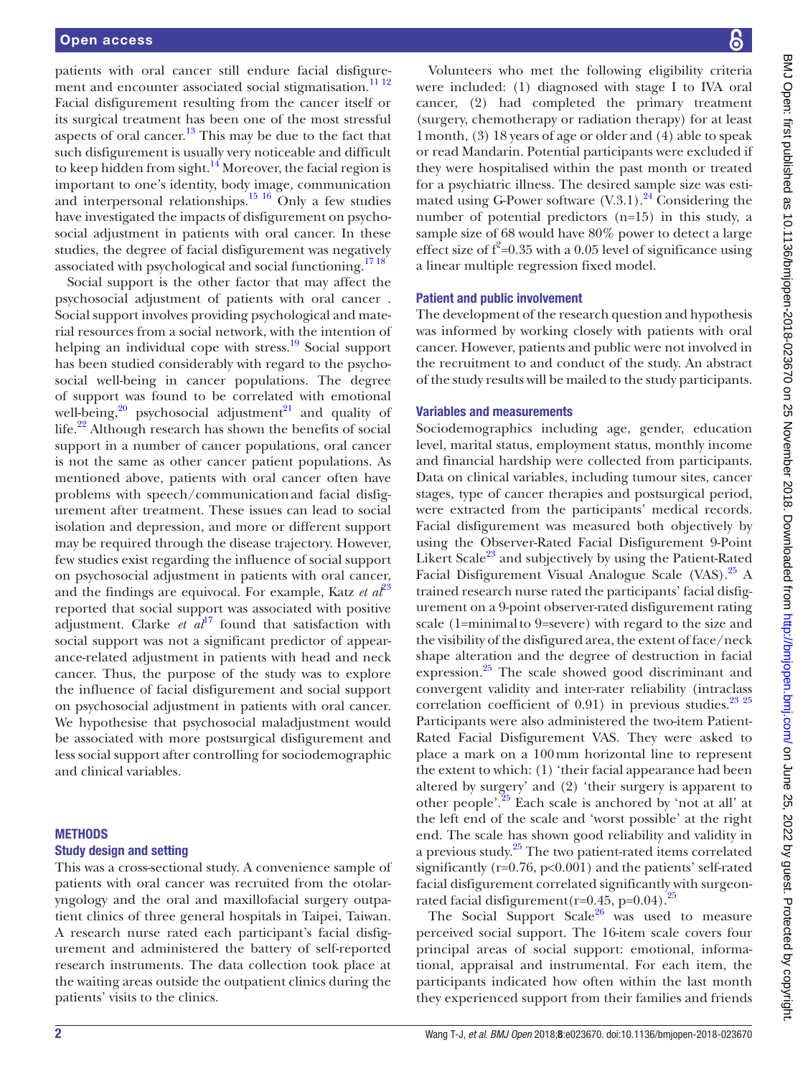patients with oral cancer still endure facial disfigure-ment and encounter associated social stigmatisation.<sup>[11 12](#page-5-8)</sup> Facial disfigurement resulting from the cancer itself or its surgical treatment has been one of the most stressful aspects of oral cancer.<sup>13</sup> This may be due to the fact that such disfigurement is usually very noticeable and difficult to keep hidden from sight.<sup>14</sup> Moreover, the facial region is important to one's identity, body image, communication and interpersonal relationships.<sup>15 16</sup> Only a few studies have investigated the impacts of disfigurement on psychosocial adjustment in patients with oral cancer. In these studies, the degree of facial disfigurement was negatively associated with psychological and social functioning.<sup>[17 18](#page-5-12)</sup>

Social support is the other factor that may affect the psychosocial adjustment of patients with oral cancer . Social support involves providing psychological and material resources from a social network, with the intention of helping an individual cope with stress.<sup>19</sup> Social support has been studied considerably with regard to the psychosocial well-being in cancer populations. The degree of support was found to be correlated with emotional well-being, $20$  psychosocial adjustment<sup>21</sup> and quality of life.<sup>22</sup> Although research has shown the benefits of social support in a number of cancer populations, oral cancer is not the same as other cancer patient populations. As mentioned above, patients with oral cancer often have problems with speech/communicationand facial disfigurement after treatment. These issues can lead to social isolation and depression, and more or different support may be required through the disease trajectory. However, few studies exist regarding the influence of social support on psychosocial adjustment in patients with oral cancer, and the findings are equivocal. For example, Katz *et*  $a^{\beta 3}$ reported that social support was associated with positive adjustment. Clarke  $et \text{ } a\text{ } l\text{}$ <sup>17</sup> found that satisfaction with social support was not a significant predictor of appearance-related adjustment in patients with head and neck cancer. Thus, the purpose of the study was to explore the influence of facial disfigurement and social support on psychosocial adjustment in patients with oral cancer. We hypothesise that psychosocial maladjustment would be associated with more postsurgical disfigurement and less social support after controlling for sociodemographic and clinical variables.

#### **METHODS**

#### Study design and setting

This was a cross-sectional study. A convenience sample of patients with oral cancer was recruited from the otolaryngology and the oral and maxillofacial surgery outpatient clinics of three general hospitals in Taipei, Taiwan. A research nurse rated each participant's facial disfigurement and administered the battery of self-reported research instruments. The data collection took place at the waiting areas outside the outpatient clinics during the patients' visits to the clinics.

BMJ Open: first published as 10.1136/bmjopen-2018-023670 on 25 November 2018. Downloaded from http://bmjopen.bmj.com/ on June 25, 2022 by guest. Protected by copyright BMJ Open: first published as 10.1136/bmjopen-2018-023670 on 25 November 2018. Downloaded from <http://bmjopen.bmj.com/> on June 25, 2022 by guest. Protected by copyright.

Volunteers who met the following eligibility criteria were included: (1) diagnosed with stage I to IVA oral cancer, (2) had completed the primary treatment (surgery, chemotherapy or radiation therapy) for at least 1month, (3) 18 years of age or older and (4) able to speak or read Mandarin. Potential participants were excluded if they were hospitalised within the past month or treated for a psychiatric illness. The desired sample size was estimated using G-Power software  $(V.3.1)$ .<sup>24</sup> Considering the number of potential predictors (n=15) in this study, a sample size of 68 would have 80% power to detect a large effect size of  $f^2$ =0.35 with a 0.05 level of significance using a linear multiple regression fixed model.

#### Patient and public involvement

The development of the research question and hypothesis was informed by working closely with patients with oral cancer. However, patients and public were not involved in the recruitment to and conduct of the study. An abstract of the study results will be mailed to the study participants.

#### Variables and measurements

Sociodemographics including age, gender, education level, marital status, employment status, monthly income and financial hardship were collected from participants. Data on clinical variables, including tumour sites, cancer stages, type of cancer therapies and postsurgical period, were extracted from the participants' medical records. Facial disfigurement was measured both objectively by using the Observer-Rated Facial Disfigurement 9-Point Likert Scale<sup>[23](#page-5-17)</sup> and subjectively by using the Patient-Rated Facial Disfigurement Visual Analogue Scale (VAS).<sup>25</sup> A trained research nurse rated the participants' facial disfigurement on a 9-point observer-rated disfigurement rating scale (1=minimalto 9=severe) with regard to the size and the visibility of the disfigured area, the extent of face/neck shape alteration and the degree of destruction in facial expression. $^{25}$  The scale showed good discriminant and convergent validity and inter-rater reliability (intraclass correlation coefficient of  $0.91$ ) in previous studies.<sup>23</sup> <sup>25</sup> Participants were also administered the two-item Patient-Rated Facial Disfigurement VAS. They were asked to place a mark on a 100mm horizontal line to represent the extent to which: (1) 'their facial appearance had been altered by surgery' and (2) 'their surgery is apparent to other people'.[25](#page-5-19) Each scale is anchored by 'not at all' at the left end of the scale and 'worst possible' at the right end. The scale has shown good reliability and validity in a previous study.[25](#page-5-19) The two patient-rated items correlated significantly ( $r=0.76$ ,  $p<0.001$ ) and the patients' self-rated facial disfigurement correlated significantly with surgeonrated facial disfigurement  $(r=0.45, p=0.04).$ <sup>25</sup>

The Social Support Scale<sup>[26](#page-5-20)</sup> was used to measure perceived social support. The 16-item scale covers four principal areas of social support: emotional, informational, appraisal and instrumental. For each item, the participants indicated how often within the last month they experienced support from their families and friends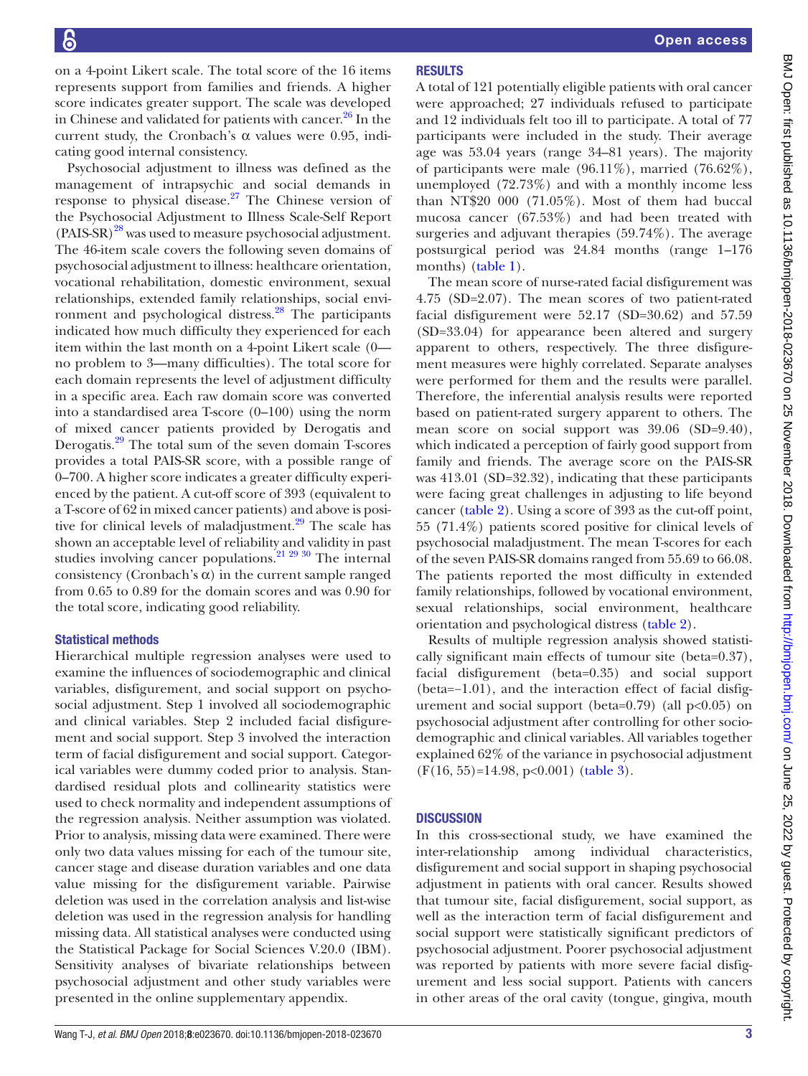on a 4-point Likert scale. The total score of the 16 items represents support from families and friends. A higher score indicates greater support. The scale was developed in Chinese and validated for patients with cancer.<sup>26</sup> In the current study, the Cronbach's  $\alpha$  values were 0.95, indicating good internal consistency.

Psychosocial adjustment to illness was defined as the management of intrapsychic and social demands in response to physical disease.<sup>27</sup> The Chinese version of the Psychosocial Adjustment to Illness Scale-Self Report (PAIS-SR)<sup>28</sup> was used to measure psychosocial adjustment. The 46-item scale covers the following seven domains of psychosocial adjustment to illness: healthcare orientation, vocational rehabilitation, domestic environment, sexual relationships, extended family relationships, social environment and psychological distress.<sup>28</sup> The participants indicated how much difficulty they experienced for each item within the last month on a 4-point Likert scale (0 no problem to 3—many difficulties). The total score for each domain represents the level of adjustment difficulty in a specific area. Each raw domain score was converted into a standardised area T-score (0–100) using the norm of mixed cancer patients provided by Derogatis and Derogatis.[29](#page-5-23) The total sum of the seven domain T-scores provides a total PAIS-SR score, with a possible range of 0–700. A higher score indicates a greater difficulty experienced by the patient. A cut-off score of 393 (equivalent to a T-score of 62 in mixed cancer patients) and above is positive for clinical levels of maladjustment.<sup>29</sup> The scale has shown an acceptable level of reliability and validity in past studies involving cancer populations.<sup>21</sup>  $29\frac{30}{1}$  The internal consistency (Cronbach's  $\alpha$ ) in the current sample ranged from 0.65 to 0.89 for the domain scores and was 0.90 for the total score, indicating good reliability.

### Statistical methods

Hierarchical multiple regression analyses were used to examine the influences of sociodemographic and clinical variables, disfigurement, and social support on psychosocial adjustment. Step 1 involved all sociodemographic and clinical variables. Step 2 included facial disfigurement and social support. Step 3 involved the interaction term of facial disfigurement and social support. Categorical variables were dummy coded prior to analysis. Standardised residual plots and collinearity statistics were used to check normality and independent assumptions of the regression analysis. Neither assumption was violated. Prior to analysis, missing data were examined. There were only two data values missing for each of the tumour site, cancer stage and disease duration variables and one data value missing for the disfigurement variable. Pairwise deletion was used in the correlation analysis and list-wise deletion was used in the regression analysis for handling missing data. All statistical analyses were conducted using the Statistical Package for Social Sciences V.20.0 (IBM). Sensitivity analyses of bivariate relationships between psychosocial adjustment and other study variables were presented in the online [supplementary appendix](https://dx.doi.org/10.1136/bmjopen-2018-023670).

# Open access

# **RESULTS**

A total of 121 potentially eligible patients with oral cancer were approached; 27 individuals refused to participate and 12 individuals felt too ill to participate. A total of 77 participants were included in the study. Their average age was 53.04 years (range 34–81 years). The majority of participants were male (96.11%), married (76.62%), unemployed (72.73%) and with a monthly income less than NT\$20 000 (71.05%). Most of them had buccal mucosa cancer (67.53%) and had been treated with surgeries and adjuvant therapies (59.74%). The average postsurgical period was 24.84 months (range 1–176 months) [\(table](#page-3-0) 1).

The mean score of nurse-rated facial disfigurement was 4.75 (SD=2.07). The mean scores of two patient-rated facial disfigurement were 52.17 (SD=30.62) and 57.59 (SD=33.04) for appearance been altered and surgery apparent to others, respectively. The three disfigurement measures were highly correlated. Separate analyses were performed for them and the results were parallel. Therefore, the inferential analysis results were reported based on patient-rated surgery apparent to others. The mean score on social support was  $39.06$  (SD=9.40), which indicated a perception of fairly good support from family and friends. The average score on the PAIS-SR was 413.01 (SD=32.32), indicating that these participants were facing great challenges in adjusting to life beyond cancer ([table](#page-3-1) 2). Using a score of 393 as the cut-off point, 55 (71.4%) patients scored positive for clinical levels of psychosocial maladjustment. The mean T-scores for each of the seven PAIS-SR domains ranged from 55.69 to 66.08. The patients reported the most difficulty in extended family relationships, followed by vocational environment, sexual relationships, social environment, healthcare orientation and psychological distress [\(table](#page-3-1) 2).

Results of multiple regression analysis showed statistically significant main effects of tumour site (beta=0.37), facial disfigurement (beta=0.35) and social support (beta=−1.01), and the interaction effect of facial disfigurement and social support (beta=0.79) (all  $p<0.05$ ) on psychosocial adjustment after controlling for other sociodemographic and clinical variables. All variables together explained 62% of the variance in psychosocial adjustment (F(16, 55)=14.98, p<0.001) [\(table](#page-3-2) 3).

# **DISCUSSION**

In this cross-sectional study, we have examined the inter-relationship among individual characteristics, disfigurement and social support in shaping psychosocial adjustment in patients with oral cancer. Results showed that tumour site, facial disfigurement, social support, as well as the interaction term of facial disfigurement and social support were statistically significant predictors of psychosocial adjustment. Poorer psychosocial adjustment was reported by patients with more severe facial disfigurement and less social support. Patients with cancers in other areas of the oral cavity (tongue, gingiva, mouth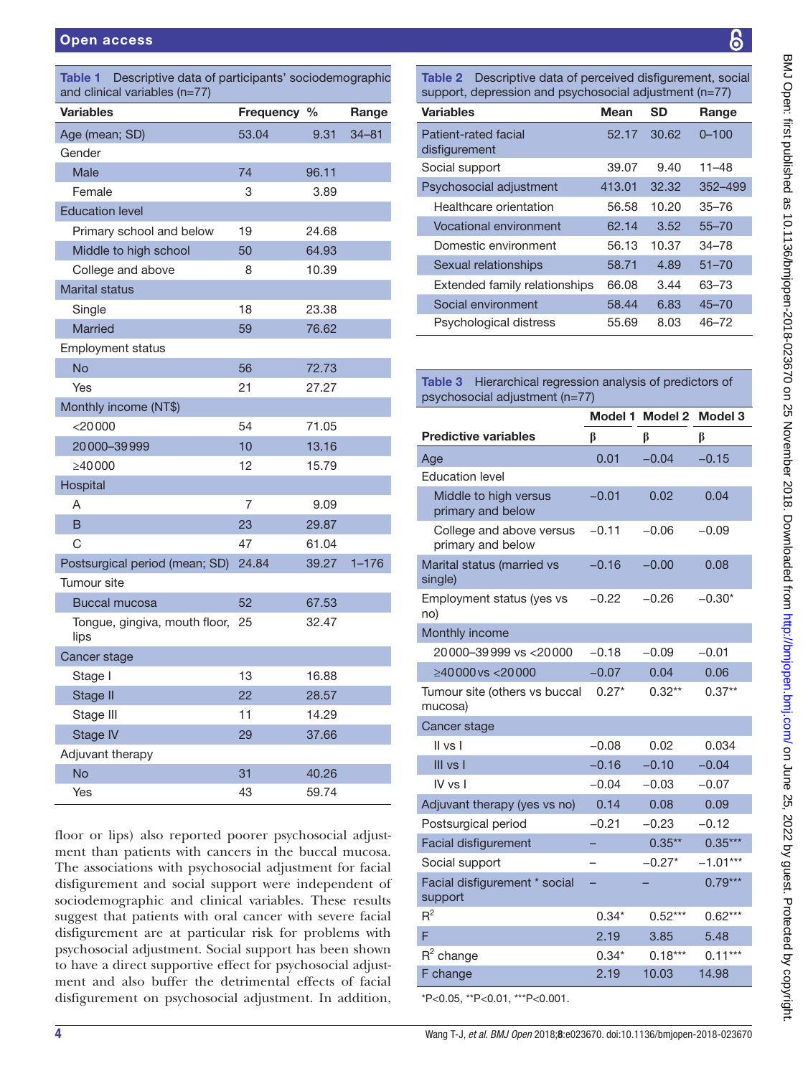<span id="page-3-0"></span>

| <b>Variables</b>                      | Frequency % |       | Range     |
|---------------------------------------|-------------|-------|-----------|
| Age (mean; SD)                        | 53.04       | 9.31  | $34 - 81$ |
| Gender                                |             |       |           |
| <b>Male</b>                           | 74          | 96.11 |           |
| Female                                | 3           | 3.89  |           |
| <b>Education level</b>                |             |       |           |
| Primary school and below              | 19          | 24.68 |           |
| Middle to high school                 | 50          | 64.93 |           |
| College and above                     | 8           | 10.39 |           |
| <b>Marital status</b>                 |             |       |           |
| Single                                | 18          | 23.38 |           |
| <b>Married</b>                        | 59          | 76.62 |           |
| <b>Employment status</b>              |             |       |           |
| <b>No</b>                             | 56          | 72.73 |           |
| Yes                                   | 21          | 27.27 |           |
| Monthly income (NT\$)                 |             |       |           |
| $<$ 20000                             | 54          | 71.05 |           |
| 20000-39999                           | 10          | 13.16 |           |
| >40000                                | 12          | 15.79 |           |
| Hospital                              |             |       |           |
| A                                     | 7           | 9.09  |           |
| В                                     | 23          | 29.87 |           |
| C                                     | 47          | 61.04 |           |
| Postsurgical period (mean; SD)        | 24.84       | 39.27 | $1 - 176$ |
| Tumour site                           |             |       |           |
| <b>Buccal mucosa</b>                  | 52          | 67.53 |           |
| Tongue, gingiva, mouth floor,<br>lips | 25          | 32.47 |           |
| Cancer stage                          |             |       |           |
| Stage I                               | 13          | 16.88 |           |
| Stage II                              | 22          | 28.57 |           |
| Stage III                             | 11          | 14.29 |           |
| <b>Stage IV</b>                       | 29          | 37.66 |           |
| Adjuvant therapy                      |             |       |           |
| <b>No</b>                             | 31          | 40.26 |           |
| Yes                                   | 43          | 59.74 |           |

floor or lips) also reported poorer psychosocial adjustment than patients with cancers in the buccal mucosa. The associations with psychosocial adjustment for facial disfigurement and social support were independent of sociodemographic and clinical variables. These results suggest that patients with oral cancer with severe facial disfigurement are at particular risk for problems with psychosocial adjustment. Social support has been shown to have a direct supportive effect for psychosocial adjustment and also buffer the detrimental effects of facial disfigurement on psychosocial adjustment. In addition,

<span id="page-3-1"></span>Table 2 Descriptive data of perceived disfigurement, social support, depression and psychosocial adjustment (n=77)

| <b>Variables</b>                      | <b>Mean</b> | <b>SD</b> | Range     |
|---------------------------------------|-------------|-----------|-----------|
| Patient-rated facial<br>disfigurement | 52.17       | 30.62     | $0 - 100$ |
| Social support                        | 39.07       | 9.40      | 11–48     |
| Psychosocial adjustment               | 413.01      | 32.32     | 352–499   |
| Healthcare orientation                | 56.58       | 10.20     | $35 - 76$ |
| Vocational environment                | 62.14       | 3.52      | $55 - 70$ |
| Domestic environment                  | 56.13       | 10.37     | $34 - 78$ |
| Sexual relationships                  | 58.71       | 4.89      | $51 - 70$ |
| Extended family relationships         | 66.08       | 3.44      | 63-73     |
| Social environment                    | 58.44       | 6.83      | $45 - 70$ |
| Psychological distress                | 55.69       | 8.03      | $46 - 72$ |

## <span id="page-3-2"></span>Table 3 Hierarchical regression analysis of predictors of psychosocial adjustment (n=77)

| $\beta$                                       |         |                 |            |  |  |
|-----------------------------------------------|---------|-----------------|------------|--|--|
|                                               |         | Model 1 Model 2 | Model 3    |  |  |
| <b>Predictive variables</b>                   | β       | β               | β          |  |  |
| Age                                           | 0.01    | $-0.04$         | $-0.15$    |  |  |
| <b>Education level</b>                        |         |                 |            |  |  |
| Middle to high versus<br>primary and below    | $-0.01$ | 0.02            | 0.04       |  |  |
| College and above versus<br>primary and below | $-0.11$ | $-0.06$         | $-0.09$    |  |  |
| Marital status (married vs<br>single)         | $-0.16$ | $-0.00$         | 0.08       |  |  |
| Employment status (yes vs<br>no)              | $-0.22$ | $-0.26$         | $-0.30*$   |  |  |
| Monthly income                                |         |                 |            |  |  |
| 20000-39999 vs < 20000                        | $-0.18$ | $-0.09$         | $-0.01$    |  |  |
| ≥40000 vs <20000                              | $-0.07$ | 0.04            | 0.06       |  |  |
| Tumour site (others vs buccal<br>mucosa)      | $0.27*$ | $0.32**$        | $0.37**$   |  |  |
| Cancer stage                                  |         |                 |            |  |  |
| II vs I                                       | $-0.08$ | 0.02            | 0.034      |  |  |
| III vs I                                      | $-0.16$ | $-0.10$         | $-0.04$    |  |  |
| IV vs I                                       | $-0.04$ | $-0.03$         | $-0.07$    |  |  |
| Adjuvant therapy (yes vs no)                  | 0.14    | 0.08            | 0.09       |  |  |
| Postsurgical period                           | $-0.21$ | $-0.23$         | $-0.12$    |  |  |
| <b>Facial disfigurement</b>                   |         | $0.35**$        | $0.35***$  |  |  |
| Social support                                |         | $-0.27*$        | $-1.01***$ |  |  |
| Facial disfigurement * social<br>support      |         |                 | $0.79***$  |  |  |
| $R^2$                                         | $0.34*$ | $0.52***$       | $0.62***$  |  |  |
| F                                             | 2.19    | 3.85            | 5.48       |  |  |
| $R^2$ change                                  | $0.34*$ | $0.18***$       | $0.11***$  |  |  |
| F change                                      | 2.19    | 10.03           | 14.98      |  |  |
| *P<0.05, **P<0.01, ***P<0.001.                |         |                 |            |  |  |

BMJ Open: first published as 10.1136/bmjopen-2018-023670 on 25 November 2018. Downloaded from http://bmjopen.bmj.com/ on June 25, 2022 by guest. Protected by copyright. BMJ Open: first published as 10.1136/bmjopen-2018-023670 on 25 November 2018. Downloaded from <http://bmjopen.bmj.com/> on June 25, 2022 by guest. Protected by copyright.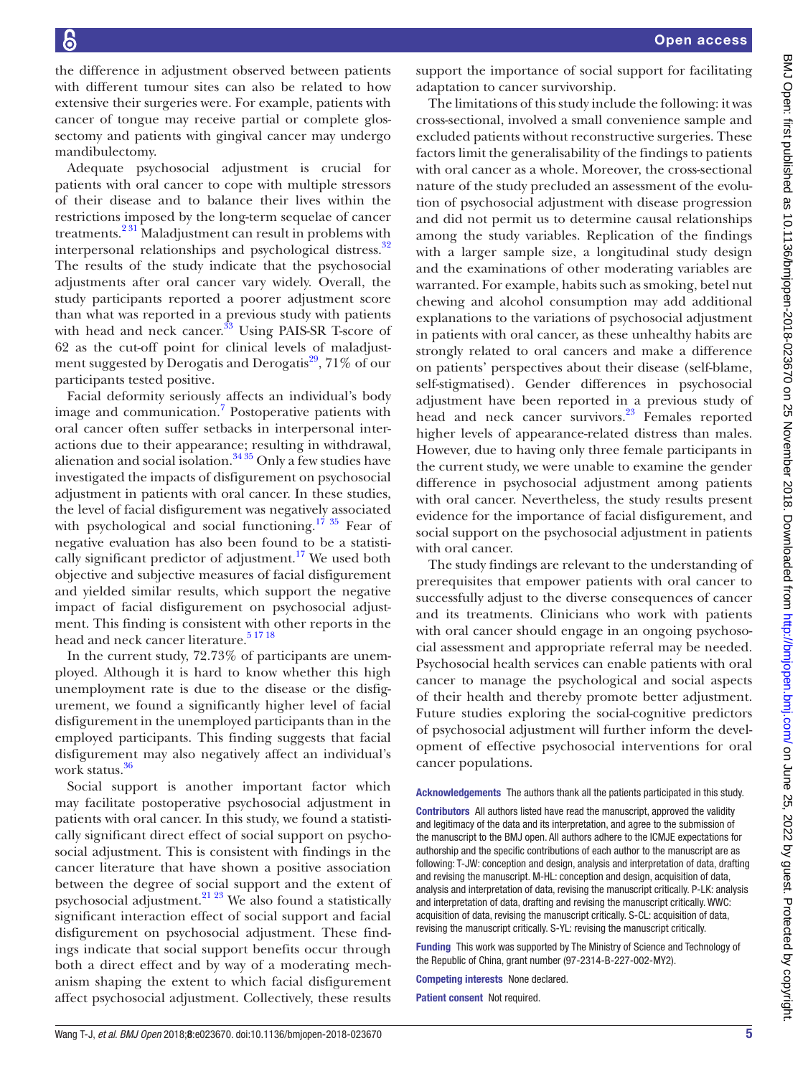the difference in adjustment observed between patients with different tumour sites can also be related to how extensive their surgeries were. For example, patients with cancer of tongue may receive partial or complete glossectomy and patients with gingival cancer may undergo mandibulectomy.

Adequate psychosocial adjustment is crucial for patients with oral cancer to cope with multiple stressors of their disease and to balance their lives within the restrictions imposed by the long-term sequelae of cancer treatments.[2 31](#page-5-24) Maladjustment can result in problems with interpersonal relationships and psychological distress.<sup>32</sup> The results of the study indicate that the psychosocial adjustments after oral cancer vary widely. Overall, the study participants reported a poorer adjustment score than what was reported in a previous study with patients with head and neck cancer. $33$  Using PAIS-SR T-score of 62 as the cut-off point for clinical levels of maladjustment suggested by Derogatis and Derogatis<sup>29</sup>, 71% of our participants tested positive.

Facial deformity seriously affects an individual's body image and communication.<sup>7</sup> Postoperative patients with oral cancer often suffer setbacks in interpersonal interactions due to their appearance; resulting in withdrawal, alienation and social isolation. $3435$  Only a few studies have investigated the impacts of disfigurement on psychosocial adjustment in patients with oral cancer. In these studies, the level of facial disfigurement was negatively associated with psychological and social functioning.<sup>17 35</sup> Fear of negative evaluation has also been found to be a statistically significant predictor of adjustment.<sup>17</sup> We used both objective and subjective measures of facial disfigurement and yielded similar results, which support the negative impact of facial disfigurement on psychosocial adjustment. This finding is consistent with other reports in the head and neck cancer literature.<sup>[5 17 18](#page-5-3)</sup>

In the current study, 72.73% of participants are unemployed. Although it is hard to know whether this high unemployment rate is due to the disease or the disfigurement, we found a significantly higher level of facial disfigurement in the unemployed participants than in the employed participants. This finding suggests that facial disfigurement may also negatively affect an individual's work status.<sup>36</sup>

Social support is another important factor which may facilitate postoperative psychosocial adjustment in patients with oral cancer. In this study, we found a statistically significant direct effect of social support on psychosocial adjustment. This is consistent with findings in the cancer literature that have shown a positive association between the degree of social support and the extent of psychosocial adjustment.<sup>21</sup> <sup>23</sup> We also found a statistically significant interaction effect of social support and facial disfigurement on psychosocial adjustment. These findings indicate that social support benefits occur through both a direct effect and by way of a moderating mechanism shaping the extent to which facial disfigurement affect psychosocial adjustment. Collectively, these results

support the importance of social support for facilitating adaptation to cancer survivorship.

The limitations of this study include the following: it was cross-sectional, involved a small convenience sample and excluded patients without reconstructive surgeries. These factors limit the generalisability of the findings to patients with oral cancer as a whole. Moreover, the cross-sectional nature of the study precluded an assessment of the evolution of psychosocial adjustment with disease progression and did not permit us to determine causal relationships among the study variables. Replication of the findings with a larger sample size, a longitudinal study design and the examinations of other moderating variables are warranted. For example, habits such as smoking, betel nut chewing and alcohol consumption may add additional explanations to the variations of psychosocial adjustment in patients with oral cancer, as these unhealthy habits are strongly related to oral cancers and make a difference on patients' perspectives about their disease (self-blame, self-stigmatised). Gender differences in psychosocial adjustment have been reported in a previous study of head and neck cancer survivors.<sup>23</sup> Females reported higher levels of appearance-related distress than males. However, due to having only three female participants in the current study, we were unable to examine the gender difference in psychosocial adjustment among patients with oral cancer. Nevertheless, the study results present evidence for the importance of facial disfigurement, and social support on the psychosocial adjustment in patients with oral cancer.

The study findings are relevant to the understanding of prerequisites that empower patients with oral cancer to successfully adjust to the diverse consequences of cancer and its treatments. Clinicians who work with patients with oral cancer should engage in an ongoing psychosocial assessment and appropriate referral may be needed. Psychosocial health services can enable patients with oral cancer to manage the psychological and social aspects of their health and thereby promote better adjustment. Future studies exploring the social-cognitive predictors of psychosocial adjustment will further inform the development of effective psychosocial interventions for oral cancer populations.

Acknowledgements The authors thank all the patients participated in this study.

Contributors All authors listed have read the manuscript, approved the validity and legitimacy of the data and its interpretation, and agree to the submission of the manuscript to the BMJ open. All authors adhere to the ICMJE expectations for authorship and the specific contributions of each author to the manuscript are as following: T-JW: conception and design, analysis and interpretation of data, drafting and revising the manuscript. M-HL: conception and design, acquisition of data, analysis and interpretation of data, revising the manuscript critically. P-LK: analysis and interpretation of data, drafting and revising the manuscript critically. WWC: acquisition of data, revising the manuscript critically. S-CL: acquisition of data, revising the manuscript critically. S-YL: revising the manuscript critically.

Funding This work was supported by The Ministry of Science and Technology of the Republic of China, grant number (97-2314-B-227-002-MY2).

Competing interests None declared.

Patient consent Not required.